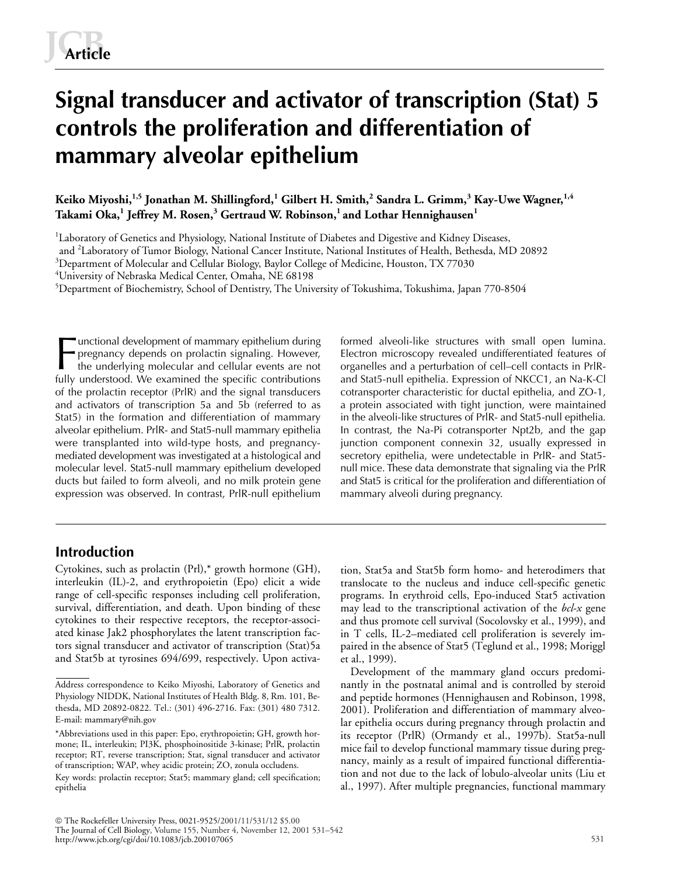# **Signal transducer and activator of transcription (Stat) 5 controls the proliferation and differentiation of mammary alveolar epithelium**

**Keiko Miyoshi,1,5 Jonathan M. Shillingford,1 Gilbert H. Smith,<sup>2</sup> Sandra L. Grimm,<sup>3</sup> Kay-Uwe Wagner,1,4 Takami Oka,<sup>1</sup> Jeffrey M. Rosen,<sup>3</sup> Gertraud W. Robinson,1 and Lothar Hennighausen1**

<sup>1</sup>Laboratory of Genetics and Physiology, National Institute of Diabetes and Digestive and Kidney Diseases,

and 2 Laboratory of Tumor Biology, National Cancer Institute, National Institutes of Health, Bethesda, MD 20892

 $^3$ Department of Molecular and Cellular Biology, Baylor College of Medicine, Houston, TX 77030

4 University of Nebraska Medical Center, Omaha, NE 68198

 $^5$ Department of Biochemistry, School of Dentistry, The University of Tokushima, Tokushima, Japan 770-8504

unctional development of mammary epithelium during pregnancy depends on prolactin signaling. However, the underlying molecular and cellular events are not fully understood. We examined the specific contributions of the prolactin receptor (PrlR) and the signal transducers and activators of transcription 5a and 5b (referred to as Stat5) in the formation and differentiation of mammary alveolar epithelium. PrlR- and Stat5-null mammary epithelia were transplanted into wild-type hosts, and pregnancymediated development was investigated at a histological and molecular level. Stat5-null mammary epithelium developed ducts but failed to form alveoli, and no milk protein gene expression was observed. In contrast, PrlR-null epithelium Improvement of mammary epithelium during<br>
Formed alveoli-like structures with small open lumina.<br>
Formed alveoli-like structures with small open lumina.<br>
Formed alveoli-like structures with small open lumina.<br>
Formed alveo

Electron microscopy revealed undifferentiated features of organelles and a perturbation of cell–cell contacts in PrlRand Stat5-null epithelia. Expression of NKCC1, an Na-K-Cl cotransporter characteristic for ductal epithelia, and ZO-1, a protein associated with tight junction, were maintained in the alveoli-like structures of PrlR- and Stat5-null epithelia. In contrast, the Na-Pi cotransporter Npt2b, and the gap junction component connexin 32, usually expressed in secretory epithelia, were undetectable in PrlR- and Stat5 null mice. These data demonstrate that signaling via the PrlR and Stat5 is critical for the proliferation and differentiation of mammary alveoli during pregnancy.

# **Introduction**

Cytokines, such as prolactin (Prl),\* growth hormone (GH), interleukin (IL)-2, and erythropoietin (Epo) elicit a wide range of cell-specific responses including cell proliferation, survival, differentiation, and death. Upon binding of these cytokines to their respective receptors, the receptor-associated kinase Jak2 phosphorylates the latent transcription factors signal transducer and activator of transcription (Stat)5a and Stat5b at tyrosines 694/699, respectively. Upon activa-

tion, Stat5a and Stat5b form homo- and heterodimers that translocate to the nucleus and induce cell-specific genetic programs. In erythroid cells, Epo-induced Stat5 activation may lead to the transcriptional activation of the *bcl*-*x* gene and thus promote cell survival (Socolovsky et al., 1999), and in T cells, IL-2–mediated cell proliferation is severely impaired in the absence of Stat5 (Teglund et al., 1998; Moriggl et al., 1999).

Development of the mammary gland occurs predominantly in the postnatal animal and is controlled by steroid and peptide hormones (Hennighausen and Robinson, 1998, 2001). Proliferation and differentiation of mammary alveolar epithelia occurs during pregnancy through prolactin and its receptor (PrlR) (Ormandy et al., 1997b). Stat5a-null mice fail to develop functional mammary tissue during pregnancy, mainly as a result of impaired functional differentiation and not due to the lack of lobulo-alveolar units (Liu et al., 1997). After multiple pregnancies, functional mammary

Address correspondence to Keiko Miyoshi, Laboratory of Genetics and Physiology NIDDK, National Institutes of Health Bldg. 8, Rm. 101, Bethesda, MD 20892-0822. Tel.: (301) 496-2716. Fax: (301) 480 7312. E-mail: mammary@nih.gov

<sup>\*</sup>Abbreviations used in this paper: Epo, erythropoietin; GH, growth hormone; IL, interleukin; PI3K, phosphoinositide 3-kinase; PrlR, prolactin receptor; RT, reverse transcription; Stat, signal transducer and activator of transcription; WAP, whey acidic protein; ZO, zonula occludens.

Key words: prolactin receptor; Stat5; mammary gland; cell specification; epithelia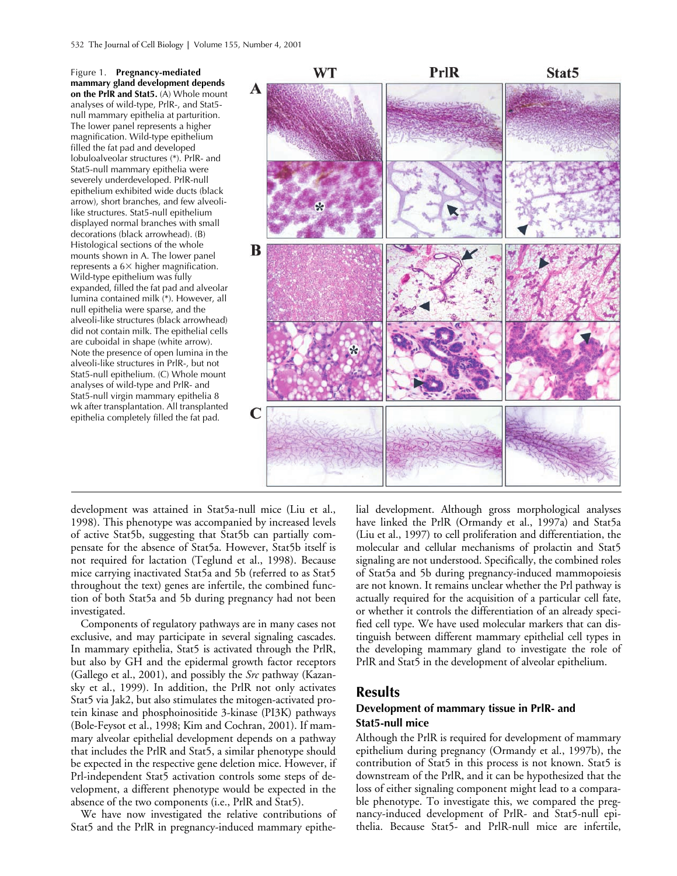Figure 1. **Pregnancy-mediated mammary gland development depends on the PrlR and Stat5.** (A) Whole mount analyses of wild-type, PrlR-, and Stat5 null mammary epithelia at parturition. The lower panel represents a higher magnification. Wild-type epithelium filled the fat pad and developed lobuloalveolar structures (\*). PrlR- and Stat5-null mammary epithelia were severely underdeveloped. PrlR-null epithelium exhibited wide ducts (black arrow), short branches, and few alveolilike structures. Stat5-null epithelium displayed normal branches with small decorations (black arrowhead). (B) Histological sections of the whole mounts shown in A. The lower panel represents a  $6\times$  higher magnification. Wild-type epithelium was fully expanded, filled the fat pad and alveolar lumina contained milk (\*). However, all null epithelia were sparse, and the alveoli-like structures (black arrowhead) did not contain milk. The epithelial cells are cuboidal in shape (white arrow). Note the presence of open lumina in the alveoli-like structures in PrlR-, but not Stat5-null epithelium. (C) Whole mount analyses of wild-type and PrlR- and Stat5-null virgin mammary epithelia 8 wk after transplantation. All transplanted epithelia completely filled the fat pad.



development was attained in Stat5a-null mice (Liu et al., 1998). This phenotype was accompanied by increased levels of active Stat5b, suggesting that Stat5b can partially compensate for the absence of Stat5a. However, Stat5b itself is not required for lactation (Teglund et al., 1998). Because mice carrying inactivated Stat5a and 5b (referred to as Stat5 throughout the text) genes are infertile, the combined function of both Stat5a and 5b during pregnancy had not been investigated.

Components of regulatory pathways are in many cases not exclusive, and may participate in several signaling cascades. In mammary epithelia, Stat5 is activated through the PrlR, but also by GH and the epidermal growth factor receptors (Gallego et al., 2001), and possibly the *Src* pathway (Kazansky et al., 1999). In addition, the PrlR not only activates Stat5 via Jak2, but also stimulates the mitogen-activated protein kinase and phosphoinositide 3-kinase (PI3K) pathways (Bole-Feysot et al., 1998; Kim and Cochran, 2001). If mammary alveolar epithelial development depends on a pathway that includes the PrlR and Stat5, a similar phenotype should be expected in the respective gene deletion mice. However, if Prl-independent Stat5 activation controls some steps of development, a different phenotype would be expected in the absence of the two components (i.e., PrlR and Stat5).

We have now investigated the relative contributions of Stat5 and the PrlR in pregnancy-induced mammary epithelial development. Although gross morphological analyses have linked the PrlR (Ormandy et al., 1997a) and Stat5a (Liu et al., 1997) to cell proliferation and differentiation, the molecular and cellular mechanisms of prolactin and Stat5 signaling are not understood. Specifically, the combined roles of Stat5a and 5b during pregnancy-induced mammopoiesis are not known. It remains unclear whether the Prl pathway is actually required for the acquisition of a particular cell fate, or whether it controls the differentiation of an already specified cell type. We have used molecular markers that can distinguish between different mammary epithelial cell types in the developing mammary gland to investigate the role of PrlR and Stat5 in the development of alveolar epithelium.

## **Results**

## **Development of mammary tissue in PrlR- and Stat5-null mice**

Although the PrlR is required for development of mammary epithelium during pregnancy (Ormandy et al., 1997b), the contribution of Stat5 in this process is not known. Stat5 is downstream of the PrlR, and it can be hypothesized that the loss of either signaling component might lead to a comparable phenotype. To investigate this, we compared the pregnancy-induced development of PrlR- and Stat5-null epithelia. Because Stat5- and PrlR-null mice are infertile,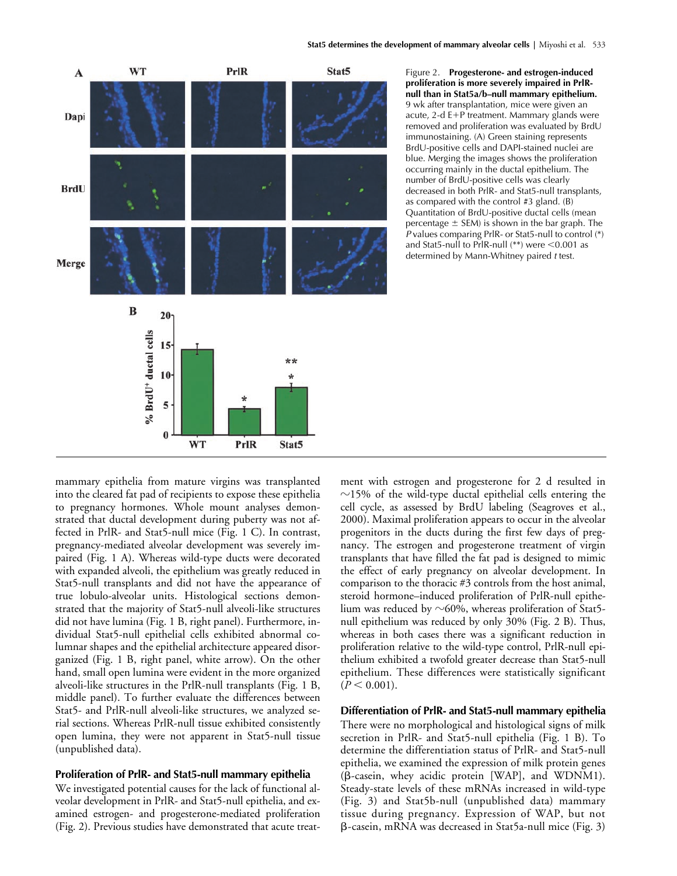

Figure 2. **Progesterone- and estrogen-induced proliferation is more severely impaired in PrlRnull than in Stat5a/b–null mammary epithelium.**  9 wk after transplantation, mice were given an acute,  $2-d E+P$  treatment. Mammary glands were removed and proliferation was evaluated by BrdU immunostaining. (A) Green staining represents BrdU-positive cells and DAPI-stained nuclei are blue. Merging the images shows the proliferation occurring mainly in the ductal epithelium. The number of BrdU-positive cells was clearly decreased in both PrlR- and Stat5-null transplants, as compared with the control #3 gland. (B) Quantitation of BrdU-positive ductal cells (mean percentage  $\pm$  SEM) is shown in the bar graph. The *P* values comparing PrlR- or Stat5-null to control (\*) and Stat5-null to PrlR-null  $(**)$  were  $<$  0.001 as determined by Mann-Whitney paired *t* test.

mammary epithelia from mature virgins was transplanted into the cleared fat pad of recipients to expose these epithelia to pregnancy hormones. Whole mount analyses demonstrated that ductal development during puberty was not affected in PrlR- and Stat5-null mice (Fig. 1 C). In contrast, pregnancy-mediated alveolar development was severely impaired (Fig. 1 A). Whereas wild-type ducts were decorated with expanded alveoli, the epithelium was greatly reduced in Stat5-null transplants and did not have the appearance of true lobulo-alveolar units. Histological sections demonstrated that the majority of Stat5-null alveoli-like structures did not have lumina (Fig. 1 B, right panel). Furthermore, individual Stat5-null epithelial cells exhibited abnormal columnar shapes and the epithelial architecture appeared disorganized (Fig. 1 B, right panel, white arrow). On the other hand, small open lumina were evident in the more organized alveoli-like structures in the PrlR-null transplants (Fig. 1 B, middle panel). To further evaluate the differences between Stat5- and PrlR-null alveoli-like structures, we analyzed serial sections. Whereas PrlR-null tissue exhibited consistently open lumina, they were not apparent in Stat5-null tissue (unpublished data).

#### **Proliferation of PrlR- and Stat5-null mammary epithelia**

We investigated potential causes for the lack of functional alveolar development in PrlR- and Stat5-null epithelia, and examined estrogen- and progesterone-mediated proliferation (Fig. 2). Previous studies have demonstrated that acute treatment with estrogen and progesterone for 2 d resulted in  $\sim$ 15% of the wild-type ductal epithelial cells entering the cell cycle, as assessed by BrdU labeling (Seagroves et al., 2000). Maximal proliferation appears to occur in the alveolar progenitors in the ducts during the first few days of pregnancy. The estrogen and progesterone treatment of virgin transplants that have filled the fat pad is designed to mimic the effect of early pregnancy on alveolar development. In comparison to the thoracic #3 controls from the host animal, steroid hormone–induced proliferation of PrlR-null epithelium was reduced by  $\sim$ 60%, whereas proliferation of Stat5null epithelium was reduced by only 30% (Fig. 2 B). Thus, whereas in both cases there was a significant reduction in proliferation relative to the wild-type control, PrlR-null epithelium exhibited a twofold greater decrease than Stat5-null epithelium. These differences were statistically significant  $(P < 0.001)$ .

**Differentiation of PrlR- and Stat5-null mammary epithelia** There were no morphological and histological signs of milk secretion in PrlR- and Stat5-null epithelia (Fig. 1 B). To determine the differentiation status of PrlR- and Stat5-null epithelia, we examined the expression of milk protein genes  $(\beta$ -casein, whey acidic protein [WAP], and WDNM1). Steady-state levels of these mRNAs increased in wild-type (Fig. 3) and Stat5b-null (unpublished data) mammary tissue during pregnancy. Expression of WAP, but not  $\beta$ -casein, mRNA was decreased in Stat5a-null mice (Fig. 3)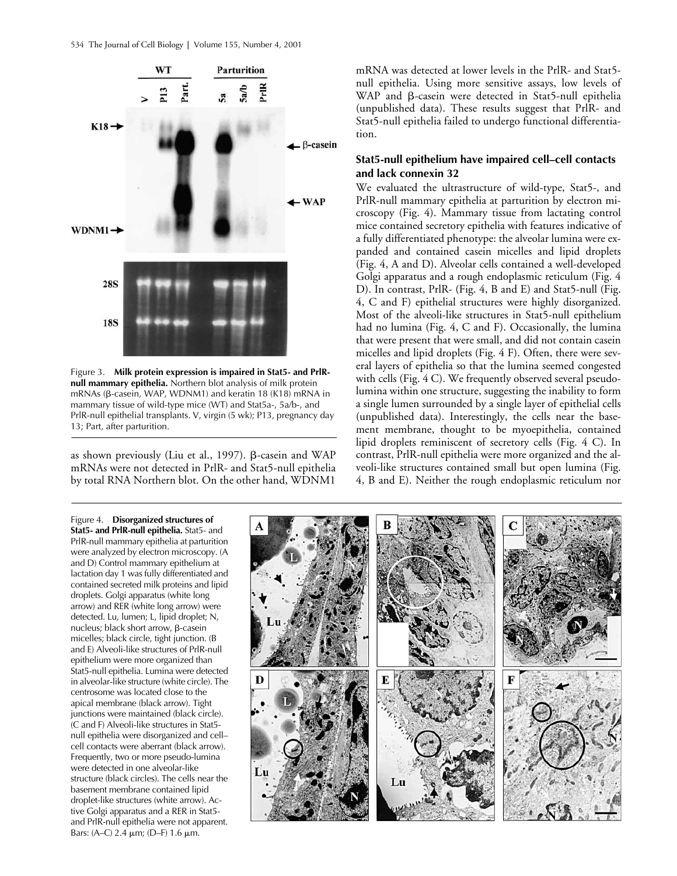

Figure 3. **Milk protein expression is impaired in Stat5- and PrlRnull mammary epithelia.** Northern blot analysis of milk protein mRNAs ( $\beta$ -casein, WAP, WDNM1) and keratin 18 (K18) mRNA in mammary tissue of wild-type mice (WT) and Stat5a-, 5a/b-, and PrlR-null epithelial transplants. V, virgin (5 wk); P13, pregnancy day 13; Part, after parturition.

as shown previously (Liu et al., 1997).  $\beta$ -casein and WAP mRNAs were not detected in PrlR- and Stat5-null epithelia by total RNA Northern blot. On the other hand, WDNM1

mRNA was detected at lower levels in the PrlR- and Stat5 null epithelia. Using more sensitive assays, low levels of WAP and B-casein were detected in Stat5-null epithelia (unpublished data). These results suggest that PrlR- and Stat5-null epithelia failed to undergo functional differentiation.

## **Stat5-null epithelium have impaired cell–cell contacts and lack connexin 32**

We evaluated the ultrastructure of wild-type, Stat5-, and PrlR-null mammary epithelia at parturition by electron microscopy (Fig. 4). Mammary tissue from lactating control mice contained secretory epithelia with features indicative of a fully differentiated phenotype: the alveolar lumina were expanded and contained casein micelles and lipid droplets (Fig. 4, A and D). Alveolar cells contained a well-developed Golgi apparatus and a rough endoplasmic reticulum (Fig. 4 D). In contrast, PrlR- (Fig. 4, B and E) and Stat5-null (Fig. 4, C and F) epithelial structures were highly disorganized. Most of the alveoli-like structures in Stat5-null epithelium had no lumina (Fig. 4, C and F). Occasionally, the lumina that were present that were small, and did not contain casein micelles and lipid droplets (Fig. 4 F). Often, there were several layers of epithelia so that the lumina seemed congested with cells (Fig. 4 C). We frequently observed several pseudolumina within one structure, suggesting the inability to form a single lumen surrounded by a single layer of epithelial cells (unpublished data). Interestingly, the cells near the basement membrane, thought to be myoepithelia, contained lipid droplets reminiscent of secretory cells (Fig. 4 C). In contrast, PrlR-null epithelia were more organized and the alveoli-like structures contained small but open lumina (Fig. 4, B and E). Neither the rough endoplasmic reticulum nor

Figure 4. **Disorganized structures of Stat5- and PrlR-null epithelia.** Stat5- and PrlR-null mammary epithelia at parturition were analyzed by electron microscopy. (A and D) Control mammary epithelium at lactation day 1 was fully differentiated and contained secreted milk proteins and lipid droplets. Golgi apparatus (white long arrow) and RER (white long arrow) were detected. Lu, lumen; L, lipid droplet; N,  $nucleus$ ; black short arrow,  $\beta$ -casein micelles; black circle, tight junction. (B and E) Alveoli-like structures of PrlR-null epithelium were more organized than Stat5-null epithelia. Lumina were detected in alveolar-like structure (white circle). The centrosome was located close to the apical membrane (black arrow). Tight junctions were maintained (black circle). (C and F) Alveoli-like structures in Stat5 null epithelia were disorganized and cell– cell contacts were aberrant (black arrow). Frequently, two or more pseudo-lumina were detected in one alveolar-like structure (black circles). The cells near the basement membrane contained lipid droplet-like structures (white arrow). Active Golgi apparatus and a RER in Stat5 and PrlR-null epithelia were not apparent. Bars: (A–C) 2.4  $\mu$ m; (D–F) 1.6  $\mu$ m.

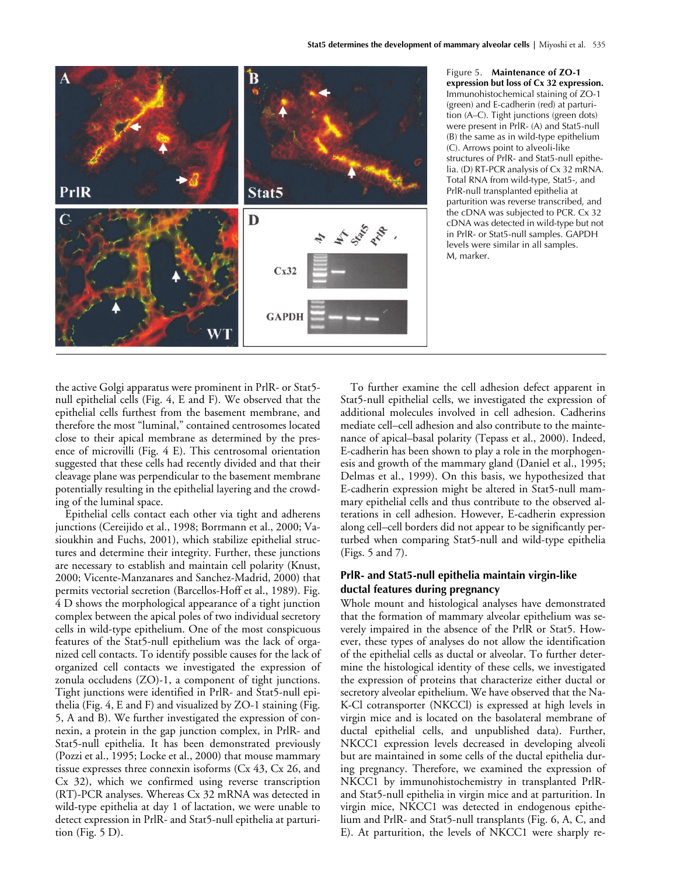

Figure 5. **Maintenance of ZO-1 expression but loss of Cx 32 expression.** Immunohistochemical staining of ZO-1 (green) and E-cadherin (red) at parturition (A–C). Tight junctions (green dots) were present in PrlR- (A) and Stat5-null (B) the same as in wild-type epithelium (C). Arrows point to alveoli-like structures of PrlR- and Stat5-null epithelia. (D) RT-PCR analysis of Cx 32 mRNA. Total RNA from wild-type, Stat5-, and PrlR-null transplanted epithelia at parturition was reverse transcribed, and the cDNA was subjected to PCR. Cx 32 cDNA was detected in wild-type but not in PrlR- or Stat5-null samples. GAPDH levels were similar in all samples. M, marker.

the active Golgi apparatus were prominent in PrlR- or Stat5 null epithelial cells (Fig. 4, E and F). We observed that the epithelial cells furthest from the basement membrane, and therefore the most "luminal," contained centrosomes located close to their apical membrane as determined by the presence of microvilli (Fig. 4 E). This centrosomal orientation suggested that these cells had recently divided and that their cleavage plane was perpendicular to the basement membrane potentially resulting in the epithelial layering and the crowding of the luminal space.

Epithelial cells contact each other via tight and adherens junctions (Cereijido et al., 1998; Borrmann et al., 2000; Vasioukhin and Fuchs, 2001), which stabilize epithelial structures and determine their integrity. Further, these junctions are necessary to establish and maintain cell polarity (Knust, 2000; Vicente-Manzanares and Sanchez-Madrid, 2000) that permits vectorial secretion (Barcellos-Hoff et al., 1989). Fig. 4 D shows the morphological appearance of a tight junction complex between the apical poles of two individual secretory cells in wild-type epithelium. One of the most conspicuous features of the Stat5-null epithelium was the lack of organized cell contacts. To identify possible causes for the lack of organized cell contacts we investigated the expression of zonula occludens (ZO)-1, a component of tight junctions. Tight junctions were identified in PrlR- and Stat5-null epithelia (Fig. 4, E and F) and visualized by ZO-1 staining (Fig. 5, A and B). We further investigated the expression of connexin, a protein in the gap junction complex, in PrlR- and Stat5-null epithelia. It has been demonstrated previously (Pozzi et al., 1995; Locke et al., 2000) that mouse mammary tissue expresses three connexin isoforms (Cx 43, Cx 26, and Cx 32), which we confirmed using reverse transcription (RT)-PCR analyses. Whereas Cx 32 mRNA was detected in wild-type epithelia at day 1 of lactation, we were unable to detect expression in PrlR- and Stat5-null epithelia at parturition (Fig. 5 D).

To further examine the cell adhesion defect apparent in Stat5-null epithelial cells, we investigated the expression of additional molecules involved in cell adhesion. Cadherins mediate cell–cell adhesion and also contribute to the maintenance of apical–basal polarity (Tepass et al., 2000). Indeed, E-cadherin has been shown to play a role in the morphogenesis and growth of the mammary gland (Daniel et al., 1995; Delmas et al., 1999). On this basis, we hypothesized that E-cadherin expression might be altered in Stat5-null mammary epithelial cells and thus contribute to the observed alterations in cell adhesion. However, E-cadherin expression along cell–cell borders did not appear to be significantly perturbed when comparing Stat5-null and wild-type epithelia (Figs. 5 and 7).

## **PrlR- and Stat5-null epithelia maintain virgin-like ductal features during pregnancy**

Whole mount and histological analyses have demonstrated that the formation of mammary alveolar epithelium was severely impaired in the absence of the PrlR or Stat5. However, these types of analyses do not allow the identification of the epithelial cells as ductal or alveolar. To further determine the histological identity of these cells, we investigated the expression of proteins that characterize either ductal or secretory alveolar epithelium. We have observed that the Na-K-Cl cotransporter (NKCCl) is expressed at high levels in virgin mice and is located on the basolateral membrane of ductal epithelial cells, and unpublished data). Further, NKCC1 expression levels decreased in developing alveoli but are maintained in some cells of the ductal epithelia during pregnancy. Therefore, we examined the expression of NKCC1 by immunohistochemistry in transplanted PrlRand Stat5-null epithelia in virgin mice and at parturition. In virgin mice, NKCC1 was detected in endogenous epithelium and PrlR- and Stat5-null transplants (Fig. 6, A, C, and E). At parturition, the levels of NKCC1 were sharply re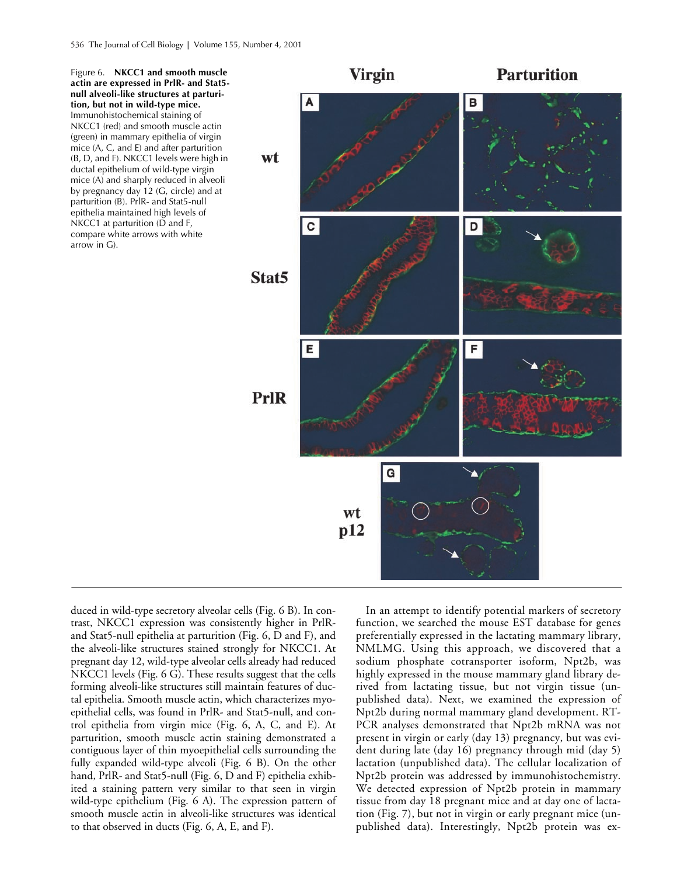Figure 6. **NKCC1 and smooth muscle actin are expressed in PrlR- and Stat5 null alveoli-like structures at parturition, but not in wild-type mice.**  Immunohistochemical staining of NKCC1 (red) and smooth muscle actin (green) in mammary epithelia of virgin mice (A, C, and E) and after parturition (B, D, and F). NKCC1 levels were high in ductal epithelium of wild-type virgin mice (A) and sharply reduced in alveoli by pregnancy day 12 (G, circle) and at parturition (B). PrlR- and Stat5-null epithelia maintained high levels of NKCC1 at parturition (D and F, compare white arrows with white arrow in G).



duced in wild-type secretory alveolar cells (Fig. 6 B). In contrast, NKCC1 expression was consistently higher in PrlRand Stat5-null epithelia at parturition (Fig. 6, D and F), and the alveoli-like structures stained strongly for NKCC1. At pregnant day 12, wild-type alveolar cells already had reduced NKCC1 levels (Fig. 6 G). These results suggest that the cells forming alveoli-like structures still maintain features of ductal epithelia. Smooth muscle actin, which characterizes myoepithelial cells, was found in PrlR- and Stat5-null, and control epithelia from virgin mice (Fig. 6, A, C, and E). At parturition, smooth muscle actin staining demonstrated a contiguous layer of thin myoepithelial cells surrounding the fully expanded wild-type alveoli (Fig. 6 B). On the other hand, PrlR- and Stat5-null (Fig. 6, D and F) epithelia exhibited a staining pattern very similar to that seen in virgin wild-type epithelium (Fig. 6 A). The expression pattern of smooth muscle actin in alveoli-like structures was identical to that observed in ducts (Fig. 6, A, E, and F).

In an attempt to identify potential markers of secretory function, we searched the mouse EST database for genes preferentially expressed in the lactating mammary library, NMLMG. Using this approach, we discovered that a sodium phosphate cotransporter isoform, Npt2b, was highly expressed in the mouse mammary gland library derived from lactating tissue, but not virgin tissue (unpublished data). Next, we examined the expression of Npt2b during normal mammary gland development. RT-PCR analyses demonstrated that Npt2b mRNA was not present in virgin or early (day 13) pregnancy, but was evident during late (day 16) pregnancy through mid (day 5) lactation (unpublished data). The cellular localization of Npt2b protein was addressed by immunohistochemistry. We detected expression of Npt2b protein in mammary tissue from day 18 pregnant mice and at day one of lactation (Fig. 7), but not in virgin or early pregnant mice (unpublished data). Interestingly, Npt2b protein was ex-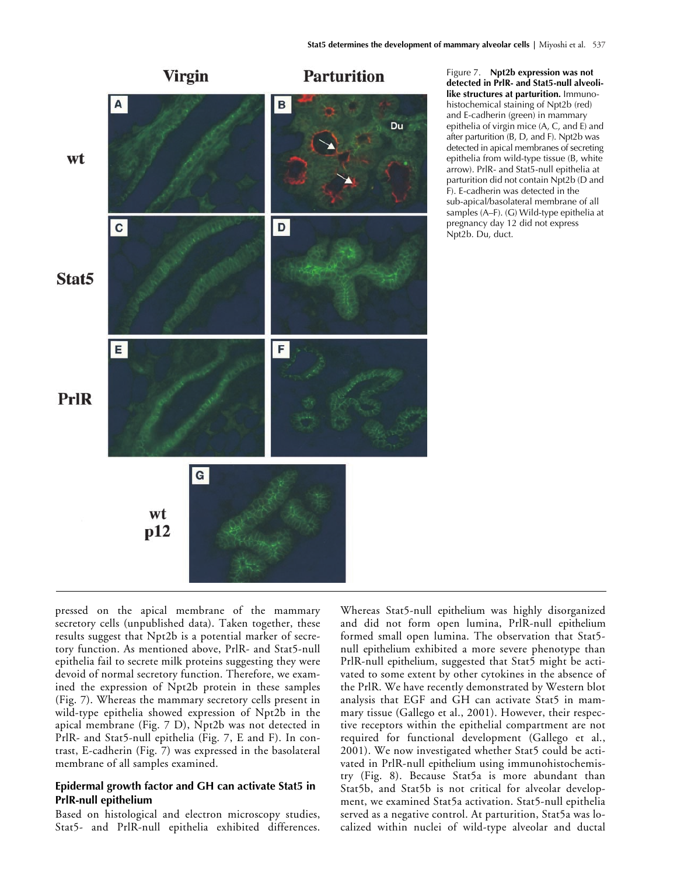

Figure 7. **Npt2b expression was not detected in PrlR- and Stat5-null alveolilike structures at parturition.** Immunohistochemical staining of Npt2b (red) and E-cadherin (green) in mammary epithelia of virgin mice (A, C, and E) and after parturition (B, D, and F). Npt2b was detected in apical membranes of secreting epithelia from wild-type tissue (B, white arrow). PrlR- and Stat5-null epithelia at parturition did not contain Npt2b (D and F). E-cadherin was detected in the sub-apical/basolateral membrane of all samples (A–F). (G) Wild-type epithelia at pregnancy day 12 did not express Npt2b. Du, duct.

pressed on the apical membrane of the mammary secretory cells (unpublished data). Taken together, these results suggest that Npt2b is a potential marker of secretory function. As mentioned above, PrlR- and Stat5-null epithelia fail to secrete milk proteins suggesting they were devoid of normal secretory function. Therefore, we examined the expression of Npt2b protein in these samples (Fig. 7). Whereas the mammary secretory cells present in wild-type epithelia showed expression of Npt2b in the apical membrane (Fig. 7 D), Npt2b was not detected in PrlR- and Stat5-null epithelia (Fig. 7, E and F). In contrast, E-cadherin (Fig. 7) was expressed in the basolateral membrane of all samples examined.

## **Epidermal growth factor and GH can activate Stat5 in PrlR-null epithelium**

Based on histological and electron microscopy studies, Stat5- and PrlR-null epithelia exhibited differences.

Whereas Stat5-null epithelium was highly disorganized and did not form open lumina, PrlR-null epithelium formed small open lumina. The observation that Stat5 null epithelium exhibited a more severe phenotype than PrlR-null epithelium, suggested that Stat5 might be activated to some extent by other cytokines in the absence of the PrlR. We have recently demonstrated by Western blot analysis that EGF and GH can activate Stat5 in mammary tissue (Gallego et al., 2001). However, their respective receptors within the epithelial compartment are not required for functional development (Gallego et al., 2001). We now investigated whether Stat5 could be activated in PrlR-null epithelium using immunohistochemistry (Fig. 8). Because Stat5a is more abundant than Stat5b, and Stat5b is not critical for alveolar development, we examined Stat5a activation. Stat5-null epithelia served as a negative control. At parturition, Stat5a was localized within nuclei of wild-type alveolar and ductal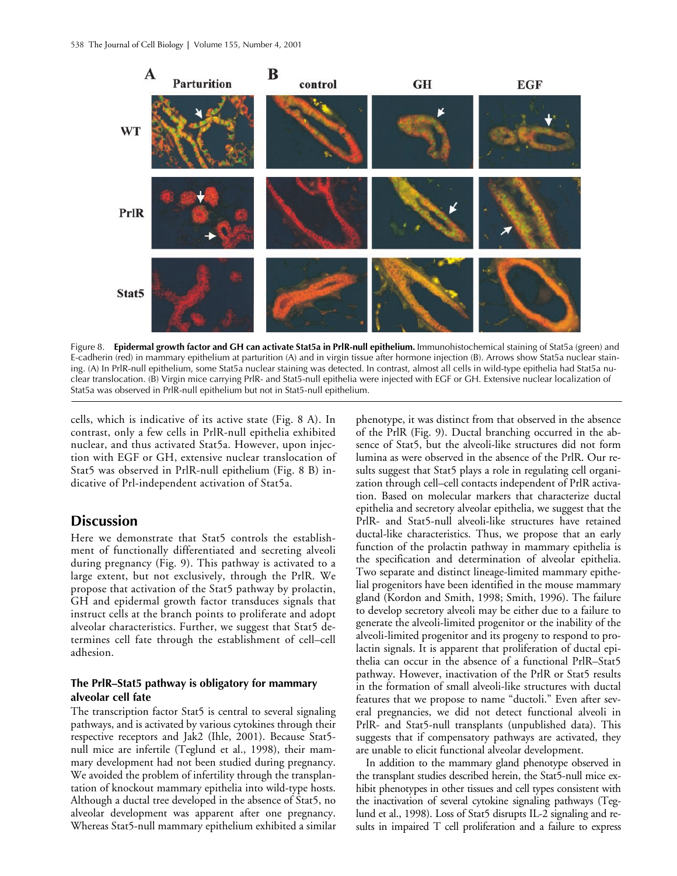

Figure 8. **Epidermal growth factor and GH can activate Stat5a in PrlR-null epithelium.** Immunohistochemical staining of Stat5a (green) and E-cadherin (red) in mammary epithelium at parturition (A) and in virgin tissue after hormone injection (B). Arrows show Stat5a nuclear staining. (A) In PrlR-null epithelium, some Stat5a nuclear staining was detected. In contrast, almost all cells in wild-type epithelia had Stat5a nuclear translocation. (B) Virgin mice carrying PrlR- and Stat5-null epithelia were injected with EGF or GH. Extensive nuclear localization of Stat5a was observed in PrlR-null epithelium but not in Stat5-null epithelium.

cells, which is indicative of its active state (Fig. 8 A). In contrast, only a few cells in PrlR-null epithelia exhibited nuclear, and thus activated Stat5a. However, upon injection with EGF or GH, extensive nuclear translocation of Stat5 was observed in PrlR-null epithelium (Fig. 8 B) indicative of Prl-independent activation of Stat5a.

## **Discussion**

Here we demonstrate that Stat5 controls the establishment of functionally differentiated and secreting alveoli during pregnancy (Fig. 9). This pathway is activated to a large extent, but not exclusively, through the PrlR. We propose that activation of the Stat5 pathway by prolactin, GH and epidermal growth factor transduces signals that instruct cells at the branch points to proliferate and adopt alveolar characteristics. Further, we suggest that Stat5 determines cell fate through the establishment of cell–cell adhesion.

## **The PrlR–Stat5 pathway is obligatory for mammary alveolar cell fate**

The transcription factor Stat5 is central to several signaling pathways, and is activated by various cytokines through their respective receptors and Jak2 (Ihle, 2001). Because Stat5 null mice are infertile (Teglund et al., 1998), their mammary development had not been studied during pregnancy. We avoided the problem of infertility through the transplantation of knockout mammary epithelia into wild-type hosts. Although a ductal tree developed in the absence of Stat5, no alveolar development was apparent after one pregnancy. Whereas Stat5-null mammary epithelium exhibited a similar

phenotype, it was distinct from that observed in the absence of the PrlR (Fig. 9). Ductal branching occurred in the absence of Stat5, but the alveoli-like structures did not form lumina as were observed in the absence of the PrlR. Our results suggest that Stat5 plays a role in regulating cell organization through cell–cell contacts independent of PrlR activation. Based on molecular markers that characterize ductal epithelia and secretory alveolar epithelia, we suggest that the PrlR- and Stat5-null alveoli-like structures have retained ductal-like characteristics. Thus, we propose that an early function of the prolactin pathway in mammary epithelia is the specification and determination of alveolar epithelia. Two separate and distinct lineage-limited mammary epithelial progenitors have been identified in the mouse mammary gland (Kordon and Smith, 1998; Smith, 1996). The failure to develop secretory alveoli may be either due to a failure to generate the alveoli-limited progenitor or the inability of the alveoli-limited progenitor and its progeny to respond to prolactin signals. It is apparent that proliferation of ductal epithelia can occur in the absence of a functional PrlR–Stat5 pathway. However, inactivation of the PrlR or Stat5 results in the formation of small alveoli-like structures with ductal features that we propose to name "ductoli." Even after several pregnancies, we did not detect functional alveoli in PrlR- and Stat5-null transplants (unpublished data). This suggests that if compensatory pathways are activated, they are unable to elicit functional alveolar development.

In addition to the mammary gland phenotype observed in the transplant studies described herein, the Stat5-null mice exhibit phenotypes in other tissues and cell types consistent with the inactivation of several cytokine signaling pathways (Teglund et al., 1998). Loss of Stat5 disrupts IL-2 signaling and results in impaired T cell proliferation and a failure to express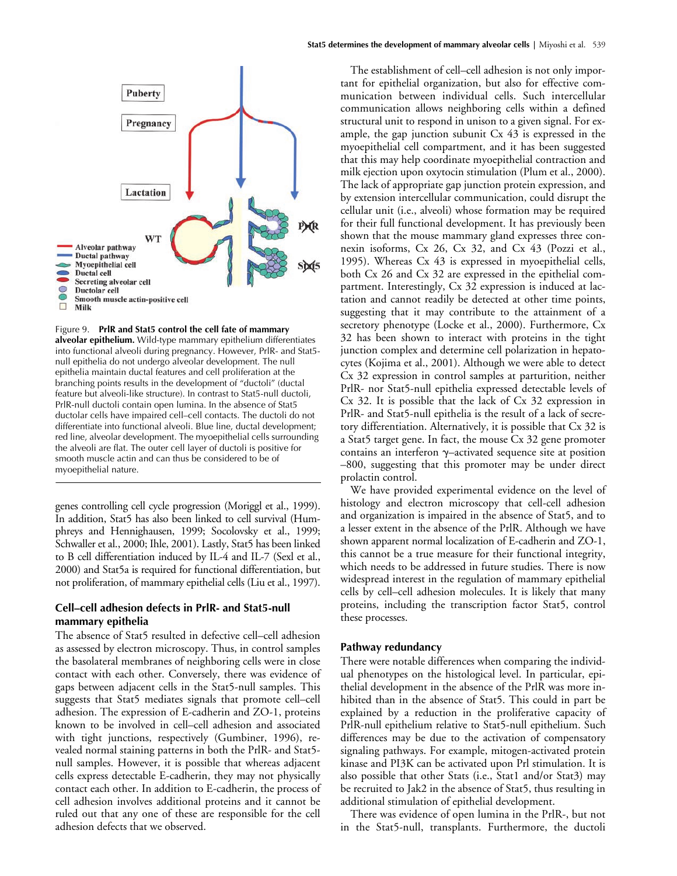

Figure 9. **PrlR and Stat5 control the cell fate of mammary alveolar epithelium.** Wild-type mammary epithelium differentiates into functional alveoli during pregnancy. However, PrlR- and Stat5 null epithelia do not undergo alveolar development. The null epithelia maintain ductal features and cell proliferation at the branching points results in the development of "ductoli" (ductal feature but alveoli-like structure). In contrast to Stat5-null ductoli, PrlR-null ductoli contain open lumina. In the absence of Stat5 ductolar cells have impaired cell–cell contacts. The ductoli do not differentiate into functional alveoli. Blue line, ductal development; red line, alveolar development. The myoepithelial cells surrounding the alveoli are flat. The outer cell layer of ductoli is positive for smooth muscle actin and can thus be considered to be of myoepithelial nature.

genes controlling cell cycle progression (Moriggl et al., 1999). In addition, Stat5 has also been linked to cell survival (Humphreys and Hennighausen, 1999; Socolovsky et al., 1999; Schwaller et al., 2000; Ihle, 2001). Lastly, Stat5 has been linked to B cell differentiation induced by IL-4 and IL-7 (Sexl et al., 2000) and Stat5a is required for functional differentiation, but not proliferation, of mammary epithelial cells (Liu et al., 1997).

## **Cell–cell adhesion defects in PrlR- and Stat5-null mammary epithelia**

The absence of Stat5 resulted in defective cell–cell adhesion as assessed by electron microscopy. Thus, in control samples the basolateral membranes of neighboring cells were in close contact with each other. Conversely, there was evidence of gaps between adjacent cells in the Stat5-null samples. This suggests that Stat5 mediates signals that promote cell–cell adhesion. The expression of E-cadherin and ZO-1, proteins known to be involved in cell–cell adhesion and associated with tight junctions, respectively (Gumbiner, 1996), revealed normal staining patterns in both the PrlR- and Stat5 null samples. However, it is possible that whereas adjacent cells express detectable E-cadherin, they may not physically contact each other. In addition to E-cadherin, the process of cell adhesion involves additional proteins and it cannot be ruled out that any one of these are responsible for the cell adhesion defects that we observed.

The establishment of cell–cell adhesion is not only important for epithelial organization, but also for effective communication between individual cells. Such intercellular communication allows neighboring cells within a defined structural unit to respond in unison to a given signal. For example, the gap junction subunit Cx 43 is expressed in the myoepithelial cell compartment, and it has been suggested that this may help coordinate myoepithelial contraction and milk ejection upon oxytocin stimulation (Plum et al., 2000). The lack of appropriate gap junction protein expression, and by extension intercellular communication, could disrupt the cellular unit (i.e., alveoli) whose formation may be required for their full functional development. It has previously been shown that the mouse mammary gland expresses three connexin isoforms, Cx 26, Cx 32, and Cx 43 (Pozzi et al., 1995). Whereas Cx 43 is expressed in myoepithelial cells, both Cx 26 and Cx 32 are expressed in the epithelial compartment. Interestingly, Cx 32 expression is induced at lactation and cannot readily be detected at other time points, suggesting that it may contribute to the attainment of a secretory phenotype (Locke et al., 2000). Furthermore, Cx 32 has been shown to interact with proteins in the tight junction complex and determine cell polarization in hepatocytes (Kojima et al., 2001). Although we were able to detect Cx 32 expression in control samples at parturition, neither PrlR- nor Stat5-null epithelia expressed detectable levels of Cx 32. It is possible that the lack of Cx 32 expression in PrlR- and Stat5-null epithelia is the result of a lack of secretory differentiation. Alternatively, it is possible that Cx 32 is a Stat5 target gene. In fact, the mouse Cx 32 gene promoter contains an interferon  $\gamma$ -activated sequence site at position –800, suggesting that this promoter may be under direct prolactin control.

We have provided experimental evidence on the level of histology and electron microscopy that cell-cell adhesion and organization is impaired in the absence of Stat5, and to a lesser extent in the absence of the PrlR. Although we have shown apparent normal localization of E-cadherin and ZO-1, this cannot be a true measure for their functional integrity, which needs to be addressed in future studies. There is now widespread interest in the regulation of mammary epithelial cells by cell–cell adhesion molecules. It is likely that many proteins, including the transcription factor Stat5, control these processes.

## **Pathway redundancy**

There were notable differences when comparing the individual phenotypes on the histological level. In particular, epithelial development in the absence of the PrlR was more inhibited than in the absence of Stat5. This could in part be explained by a reduction in the proliferative capacity of PrlR-null epithelium relative to Stat5-null epithelium. Such differences may be due to the activation of compensatory signaling pathways. For example, mitogen-activated protein kinase and PI3K can be activated upon Prl stimulation. It is also possible that other Stats (i.e., Stat1 and/or Stat3) may be recruited to Jak2 in the absence of Stat5, thus resulting in additional stimulation of epithelial development.

There was evidence of open lumina in the PrlR-, but not in the Stat5-null, transplants. Furthermore, the ductoli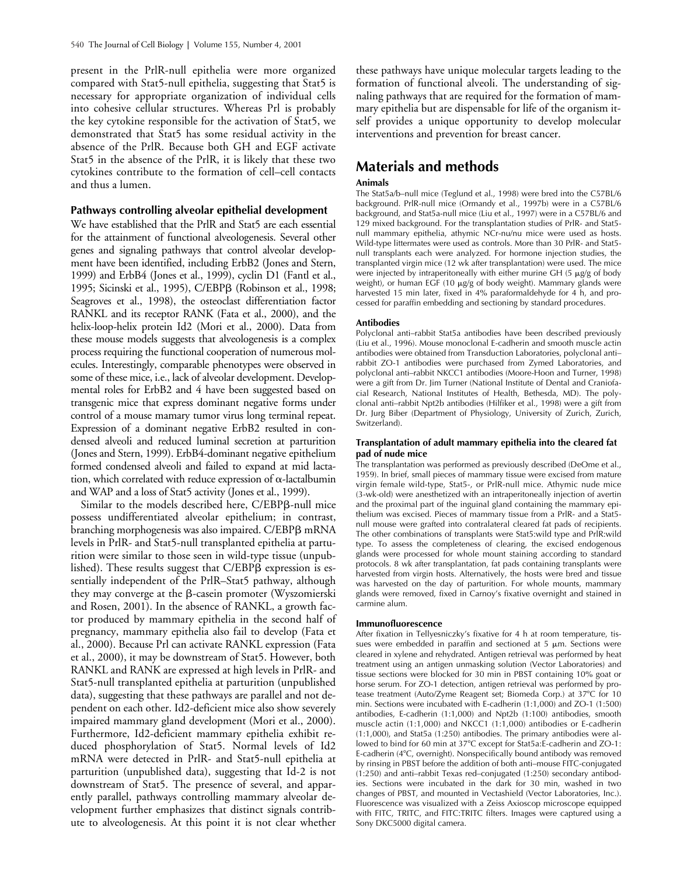present in the PrlR-null epithelia were more organized compared with Stat5-null epithelia, suggesting that Stat5 is necessary for appropriate organization of individual cells into cohesive cellular structures. Whereas Prl is probably the key cytokine responsible for the activation of Stat5, we demonstrated that Stat5 has some residual activity in the absence of the PrlR. Because both GH and EGF activate Stat5 in the absence of the PrlR, it is likely that these two cytokines contribute to the formation of cell–cell contacts and thus a lumen.

## **Pathways controlling alveolar epithelial development**

We have established that the PrlR and Stat5 are each essential for the attainment of functional alveologenesis. Several other genes and signaling pathways that control alveolar development have been identified, including ErbB2 (Jones and Stern, 1999) and ErbB4 (Jones et al., 1999), cyclin D1 (Fantl et al., 1995; Sicinski et al., 1995), C/EBPB (Robinson et al., 1998; Seagroves et al., 1998), the osteoclast differentiation factor RANKL and its receptor RANK (Fata et al., 2000), and the helix-loop-helix protein Id2 (Mori et al., 2000). Data from these mouse models suggests that alveologenesis is a complex process requiring the functional cooperation of numerous molecules. Interestingly, comparable phenotypes were observed in some of these mice, i.e., lack of alveolar development. Developmental roles for ErbB2 and 4 have been suggested based on transgenic mice that express dominant negative forms under control of a mouse mamary tumor virus long terminal repeat. Expression of a dominant negative ErbB2 resulted in condensed alveoli and reduced luminal secretion at parturition (Jones and Stern, 1999). ErbB4-dominant negative epithelium formed condensed alveoli and failed to expand at mid lactation, which correlated with reduce expression of  $\alpha$ -lactalbumin and WAP and a loss of Stat5 activity (Jones et al., 1999).

Similar to the models described here, C/EBPB-null mice possess undifferentiated alveolar epithelium; in contrast, branching morphogenesis was also impaired. C/EBPβ mRNA levels in PrlR- and Stat5-null transplanted epithelia at parturition were similar to those seen in wild-type tissue (unpublished). These results suggest that  $C/EBP\beta$  expression is essentially independent of the PrlR–Stat5 pathway, although they may converge at the  $\beta$ -casein promoter (Wyszomierski and Rosen, 2001). In the absence of RANKL, a growth factor produced by mammary epithelia in the second half of pregnancy, mammary epithelia also fail to develop (Fata et al., 2000). Because Prl can activate RANKL expression (Fata et al., 2000), it may be downstream of Stat5. However, both RANKL and RANK are expressed at high levels in PrlR- and Stat5-null transplanted epithelia at parturition (unpublished data), suggesting that these pathways are parallel and not dependent on each other. Id2-deficient mice also show severely impaired mammary gland development (Mori et al., 2000). Furthermore, Id2-deficient mammary epithelia exhibit reduced phosphorylation of Stat5. Normal levels of Id2 mRNA were detected in PrlR- and Stat5-null epithelia at parturition (unpublished data), suggesting that Id-2 is not downstream of Stat5. The presence of several, and apparently parallel, pathways controlling mammary alveolar development further emphasizes that distinct signals contribute to alveologenesis. At this point it is not clear whether

these pathways have unique molecular targets leading to the formation of functional alveoli. The understanding of signaling pathways that are required for the formation of mammary epithelia but are dispensable for life of the organism itself provides a unique opportunity to develop molecular interventions and prevention for breast cancer.

# **Materials and methods**

## **Animals**

The Stat5a/b–null mice (Teglund et al., 1998) were bred into the C57BL/6 background. PrlR-null mice (Ormandy et al., 1997b) were in a C57BL/6 background, and Stat5a-null mice (Liu et al., 1997) were in a C57BL/6 and 129 mixed background. For the transplantation studies of PrlR- and Stat5 null mammary epithelia, athymic NCr-nu/nu mice were used as hosts. Wild-type littermates were used as controls. More than 30 PrlR- and Stat5 null transplants each were analyzed. For hormone injection studies, the transplanted virgin mice (12 wk after transplantation) were used. The mice were injected by intraperitoneally with either murine GH  $(5 \mu g/g)$  of body weight), or human EGF (10  $\mu$ g/g of body weight). Mammary glands were harvested 15 min later, fixed in 4% paraformaldehyde for 4 h, and processed for paraffin embedding and sectioning by standard procedures.

#### **Antibodies**

Polyclonal anti–rabbit Stat5a antibodies have been described previously (Liu et al., 1996). Mouse monoclonal E-cadherin and smooth muscle actin antibodies were obtained from Transduction Laboratories, polyclonal anti– rabbit ZO-1 antibodies were purchased from Zymed Laboratories, and polyclonal anti–rabbit NKCC1 antibodies (Moore-Hoon and Turner, 1998) were a gift from Dr. Jim Turner (National Institute of Dental and Craniofacial Research, National Institutes of Health, Bethesda, MD). The polyclonal anti–rabbit Npt2b antibodies (Hilfiker et al., 1998) were a gift from Dr. Jurg Biber (Department of Physiology, University of Zurich, Zurich, Switzerland).

#### **Transplantation of adult mammary epithelia into the cleared fat pad of nude mice**

The transplantation was performed as previously described (DeOme et al., 1959). In brief, small pieces of mammary tissue were excised from mature virgin female wild-type, Stat5-, or PrlR-null mice. Athymic nude mice (3-wk-old) were anesthetized with an intraperitoneally injection of avertin and the proximal part of the inguinal gland containing the mammary epithelium was excised. Pieces of mammary tissue from a PrlR- and a Stat5 null mouse were grafted into contralateral cleared fat pads of recipients. The other combinations of transplants were Stat5:wild type and PrlR:wild type. To assess the completeness of clearing, the excised endogenous glands were processed for whole mount staining according to standard protocols. 8 wk after transplantation, fat pads containing transplants were harvested from virgin hosts. Alternatively, the hosts were bred and tissue was harvested on the day of parturition. For whole mounts, mammary glands were removed, fixed in Carnoy's fixative overnight and stained in carmine alum.

#### **Immunofluorescence**

After fixation in Tellyesniczky's fixative for 4 h at room temperature, tissues were embedded in paraffin and sectioned at  $5 \mu m$ . Sections were cleared in xylene and rehydrated. Antigen retrieval was performed by heat treatment using an antigen unmasking solution (Vector Laboratories) and tissue sections were blocked for 30 min in PBST containing 10% goat or horse serum. For ZO-1 detection, antigen retrieval was performed by protease treatment (Auto/Zyme Reagent set; Biomeda Corp.) at 37 C for 10 min. Sections were incubated with E-cadherin (1:1,000) and ZO-1 (1:500) antibodies, E-cadherin (1:1,000) and Npt2b (1:100) antibodies, smooth muscle actin (1:1,000) and NKCC1 (1:1,000) antibodies or E-cadherin (1:1,000), and Stat5a (1:250) antibodies. The primary antibodies were allowed to bind for 60 min at 37 C except for Stat5a:E-cadherin and ZO-1: E-cadherin (4 C, overnight). Nonspecifically bound antibody was removed by rinsing in PBST before the addition of both anti–mouse FITC-conjugated (1:250) and anti–rabbit Texas red–conjugated (1:250) secondary antibodies. Sections were incubated in the dark for 30 min, washed in two changes of PBST, and mounted in Vectashield (Vector Laboratories, Inc.). Fluorescence was visualized with a Zeiss Axioscop microscope equipped with FITC, TRITC, and FITC:TRITC filters. Images were captured using a Sony DKC5000 digital camera.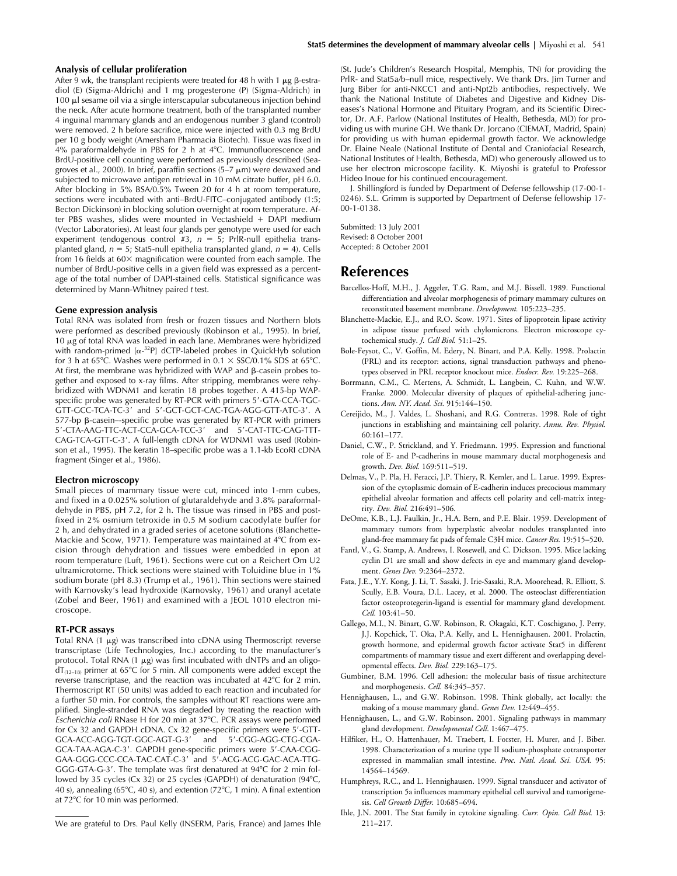#### **Analysis of cellular proliferation**

After 9 wk, the transplant recipients were treated for 48 h with 1  $\mu$ g  $\beta$ -estradiol (E) (Sigma-Aldrich) and 1 mg progesterone (P) (Sigma-Aldrich) in  $100 \mu$ l sesame oil via a single interscapular subcutaneous injection behind the neck. After acute hormone treatment, both of the transplanted number 4 inguinal mammary glands and an endogenous number 3 gland (control) were removed. 2 h before sacrifice, mice were injected with 0.3 mg BrdU per 10 g body weight (Amersham Pharmacia Biotech). Tissue was fixed in 4% paraformaldehyde in PBS for 2 h at 4 C. Immunofluorescence and BrdU-positive cell counting were performed as previously described (Seagroves et al., 2000). In brief, paraffin sections (5–7  $\mu$ m) were dewaxed and subjected to microwave antigen retrieval in 10 mM citrate buffer, pH 6.0. After blocking in 5% BSA/0.5% Tween 20 for 4 h at room temperature, sections were incubated with anti–BrdU-FITC–conjugated antibody (1:5; Becton Dickinson) in blocking solution overnight at room temperature. After PBS washes, slides were mounted in Vectashield + DAPI medium (Vector Laboratories). At least four glands per genotype were used for each experiment (endogenous control #3,  $n = 5$ ; PrlR-null epithelia transplanted gland,  $n = 5$ ; Stat5-null epithelia transplanted gland,  $n = 4$ ). Cells from 16 fields at 60 $\times$  magnification were counted from each sample. The number of BrdU-positive cells in a given field was expressed as a percentage of the total number of DAPI-stained cells. Statistical significance was determined by Mann-Whitney paired *t* test.

#### **Gene expression analysis**

Total RNA was isolated from fresh or frozen tissues and Northern blots were performed as described previously (Robinson et al., 1995). In brief,  $10 \mu$ g of total RNA was loaded in each lane. Membranes were hybridized with random-primed  $[\alpha^{-32}P]$  dCTP-labeled probes in QuickHyb solution for 3 h at 65°C. Washes were performed in 0.1  $\times$  SSC/0.1% SDS at 65°C. At first, the membrane was hybridized with WAP and  $\beta$ -casein probes together and exposed to x-ray films. After stripping, membranes were rehybridized with WDNM1 and keratin 18 probes together. A 415-bp WAPspecific probe was generated by RT-PCR with primers 5-GTA-CCA-TGC-GTT-GCC-TCA-TC-3 and 5-GCT-GCT-CAC-TGA-AGG-GTT-ATC-3. A  $577$ -bp  $\beta$ -casein–-specific probe was generated by RT-PCR with primers 5-CTA-AAG-TTC-ACT-CCA-GCA-TCC-3 and 5-CAT-TTC-CAG-TTT-CAG-TCA-GTT-C-3. A full-length cDNA for WDNM1 was used (Robinson et al., 1995). The keratin 18–specific probe was a 1.1-kb EcoRI cDNA fragment (Singer et al., 1986).

#### **Electron microscopy**

Small pieces of mammary tissue were cut, minced into 1-mm cubes, and fixed in a 0.025% solution of glutaraldehyde and 3.8% paraformaldehyde in PBS, pH 7.2, for 2 h. The tissue was rinsed in PBS and postfixed in 2% osmium tetroxide in 0.5 M sodium cacodylate buffer for 2 h, and dehydrated in a graded series of acetone solutions (Blanchette-Mackie and Scow, 1971). Temperature was maintained at 4 C from excision through dehydration and tissues were embedded in epon at room temperature (Luft, 1961). Sections were cut on a Reichert Om U2 ultramicrotome. Thick sections were stained with Toluidine blue in 1% sodium borate (pH 8.3) (Trump et al., 1961). Thin sections were stained with Karnovsky's lead hydroxide (Karnovsky, 1961) and uranyl acetate (Zobel and Beer, 1961) and examined with a JEOL 1010 electron microscope.

#### **RT-PCR assays**

Total RNA  $(1 \mu g)$  was transcribed into cDNA using Thermoscript reverse transcriptase (Life Technologies, Inc.) according to the manufacturer's protocol. Total RNA  $(1 \mu g)$  was first incubated with dNTPs and an oligo $dT<sub>(12–18)</sub>$  primer at 65°C for 5 min. All components were added except the reverse transcriptase, and the reaction was incubated at 42 C for 2 min. Thermoscript RT (50 units) was added to each reaction and incubated for a further 50 min. For controls, the samples without RT reactions were amplified. Single-stranded RNA was degraded by treating the reaction with *Escherichia coli* RNase H for 20 min at 37 C. PCR assays were performed for Cx 32 and GAPDH cDNA. Cx 32 gene-specific primers were 5-GTT-GCA-ACC-AGG-TGT-GGC-AGT-G-3' and 5'-CGG-AGG-CTG-CGA-GCA-TAA-AGA-C-3. GAPDH gene-specific primers were 5-CAA-CGG-GAA-GGG-CCC-CCA-TAC-CAT-C-3 and 5-ACG-ACG-GAC-ACA-TTG-GGG-GTA-G-3. The template was first denatured at 94 C for 2 min followed by 35 cycles (Cx 32) or 25 cycles (GAPDH) of denaturation (94°C, 40 s), annealing (65 C, 40 s), and extention (72 C, 1 min). A final extention at 72 C for 10 min was performed.

(St. Jude's Children's Research Hospital, Memphis, TN) for providing the PrlR- and Stat5a/b–null mice, respectively. We thank Drs. Jim Turner and Jurg Biber for anti-NKCC1 and anti-Npt2b antibodies, respectively. We thank the National Institute of Diabetes and Digestive and Kidney Diseases's National Hormone and Pituitary Program, and its Scientific Director, Dr. A.F. Parlow (National Institutes of Health, Bethesda, MD) for providing us with murine GH. We thank Dr. Jorcano (CIEMAT, Madrid, Spain) for providing us with human epidermal growth factor. We acknowledge Dr. Elaine Neale (National Institute of Dental and Craniofacial Research, National Institutes of Health, Bethesda, MD) who generously allowed us to use her electron microscope facility. K. Miyoshi is grateful to Professor Hideo Inoue for his continued encouragement.

J. Shillingford is funded by Department of Defense fellowship (17-00-1- 0246). S.L. Grimm is supported by Department of Defense fellowship 17- 00-1-0138.

Submitted: 13 July 2001 Revised: 8 October 2001 Accepted: 8 October 2001

## **References**

- Barcellos-Hoff, M.H., J. Aggeler, T.G. Ram, and M.J. Bissell. 1989. Functional differentiation and alveolar morphogenesis of primary mammary cultures on reconstituted basement membrane. *Development.* 105:223–235.
- Blanchette-Mackie, E.J., and R.O. Scow. 1971. Sites of lipoprotein lipase activity in adipose tissue perfused with chylomicrons. Electron microscope cytochemical study. *J. Cell Biol.* 51:1–25.
- Bole-Feysot, C., V. Goffin, M. Edery, N. Binart, and P.A. Kelly. 1998. Prolactin (PRL) and its receptor: actions, signal transduction pathways and phenotypes observed in PRL receptor knockout mice. *Endocr. Rev.* 19:225–268.
- Borrmann, C.M., C. Mertens, A. Schmidt, L. Langbein, C. Kuhn, and W.W. Franke. 2000. Molecular diversity of plaques of epithelial-adhering junctions. *Ann. NY. Acad. Sci.* 915:144–150.
- Cereijido, M., J. Valdes, L. Shoshani, and R.G. Contreras. 1998. Role of tight junctions in establishing and maintaining cell polarity. *Annu. Rev. Physiol.* 60:161–177.
- Daniel, C.W., P. Strickland, and Y. Friedmann. 1995. Expression and functional role of E- and P-cadherins in mouse mammary ductal morphogenesis and growth. *Dev. Biol.* 169:511–519.
- Delmas, V., P. Pla, H. Feracci, J.P. Thiery, R. Kemler, and L. Larue. 1999. Expression of the cytoplasmic domain of E-cadherin induces precocious mammary epithelial alveolar formation and affects cell polarity and cell-matrix integrity. *Dev. Biol.* 216:491–506.
- DeOme, K.B., L.J. Faulkin, Jr., H.A. Bern, and P.E. Blair. 1959. Development of mammary tumors from hyperplastic alveolar nodules transplanted into gland-free mammary fat pads of female C3H mice. *Cancer Res.* 19:515–520.
- Fantl, V., G. Stamp, A. Andrews, I. Rosewell, and C. Dickson. 1995. Mice lacking cyclin D1 are small and show defects in eye and mammary gland development. *Genes Dev.* 9:2364–2372.
- Fata, J.E., Y.Y. Kong, J. Li, T. Sasaki, J. Irie-Sasaki, R.A. Moorehead, R. Elliott, S. Scully, E.B. Voura, D.L. Lacey, et al. 2000. The osteoclast differentiation factor osteoprotegerin-ligand is essential for mammary gland development. *Cell.* 103:41–50.
- Gallego, M.I., N. Binart, G.W. Robinson, R. Okagaki, K.T. Coschigano, J. Perry, J.J. Kopchick, T. Oka, P.A. Kelly, and L. Hennighausen. 2001. Prolactin, growth hormone, and epidermal growth factor activate Stat5 in different compartments of mammary tissue and exert different and overlapping developmental effects. *Dev. Biol.* 229:163–175.
- Gumbiner, B.M. 1996. Cell adhesion: the molecular basis of tissue architecture and morphogenesis. *Cell.* 84:345–357.
- Hennighausen, L., and G.W. Robinson. 1998. Think globally, act locally: the making of a mouse mammary gland. *Genes Dev.* 12:449–455.
- Hennighausen, L., and G.W. Robinson. 2001. Signaling pathways in mammary gland development. *Developmental Cell*. 1:467–475.
- Hilfiker, H., O. Hattenhauer, M. Traebert, I. Forster, H. Murer, and J. Biber. 1998. Characterization of a murine type II sodium-phosphate cotransporter expressed in mammalian small intestine. *Proc. Natl. Acad. Sci. USA.* 95: 14564–14569.
- Humphreys, R.C., and L. Hennighausen. 1999. Signal transducer and activator of transcription 5a influences mammary epithelial cell survival and tumorigenesis. *Cell Growth Differ.* 10:685–694.
- Ihle, J.N. 2001. The Stat family in cytokine signaling. *Curr. Opin. Cell Biol.* 13: 211–217.

We are grateful to Drs. Paul Kelly (INSERM, Paris, France) and James Ihle